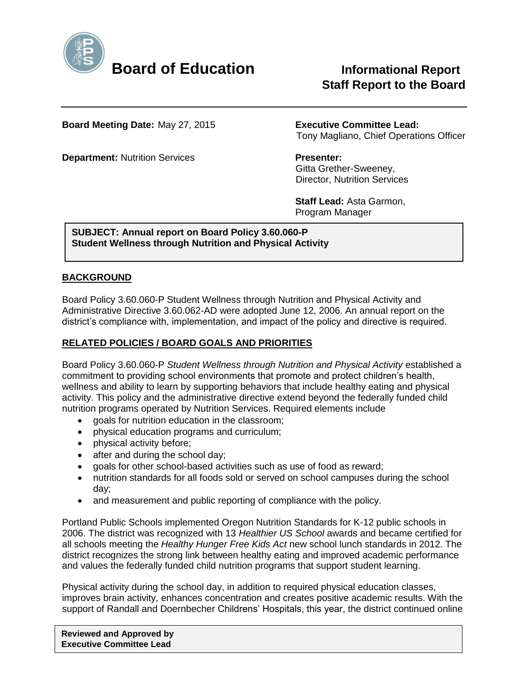

# **Staff Report to the Board**

**Board Meeting Date:** May 27, 2015 **Executive Committee Lead:**

**Department:** Nutrition Services **Presenter:** 

Tony Magliano, Chief Operations Officer

 Gitta Grether-Sweeney, Director, Nutrition Services

 **Staff Lead:** Asta Garmon, Program Manager

**SUBJECT: Annual report on Board Policy 3.60.060-P Student Wellness through Nutrition and Physical Activity**

### **BACKGROUND**

Board Policy 3.60.060-P Student Wellness through Nutrition and Physical Activity and Administrative Directive 3.60.062-AD were adopted June 12, 2006. An annual report on the district's compliance with, implementation, and impact of the policy and directive is required.

## **RELATED POLICIES / BOARD GOALS AND PRIORITIES**

Board Policy 3.60.060-P *Student Wellness through Nutrition and Physical Activity* established a commitment to providing school environments that promote and protect children's health, wellness and ability to learn by supporting behaviors that include healthy eating and physical activity. This policy and the administrative directive extend beyond the federally funded child nutrition programs operated by Nutrition Services. Required elements include

- goals for nutrition education in the classroom;
- physical education programs and curriculum;
- physical activity before;
- after and during the school day;
- aoals for other school-based activities such as use of food as reward;
- nutrition standards for all foods sold or served on school campuses during the school day;
- and measurement and public reporting of compliance with the policy.

Portland Public Schools implemented Oregon Nutrition Standards for K-12 public schools in 2006. The district was recognized with 13 *Healthier US School* awards and became certified for all schools meeting the *Healthy Hunger Free Kids Act* new school lunch standards in 2012. The district recognizes the strong link between healthy eating and improved academic performance and values the federally funded child nutrition programs that support student learning.

Physical activity during the school day, in addition to required physical education classes, improves brain activity, enhances concentration and creates positive academic results. With the support of Randall and Doernbecher Childrens' Hospitals, this year, the district continued online

**Reviewed and Approved by Executive Committee Lead**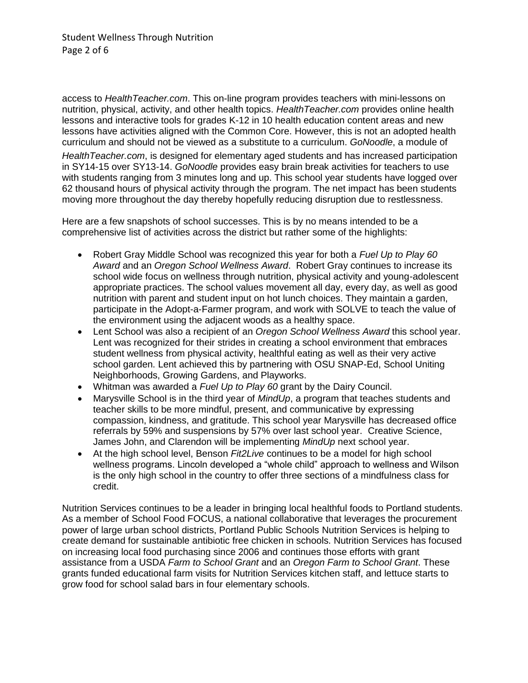access to *HealthTeacher.com*. This on-line program provides teachers with mini-lessons on nutrition, physical, activity, and other health topics. *HealthTeacher.com* provides online health lessons and interactive tools for grades K-12 in 10 health education content areas and new lessons have activities aligned with the Common Core. However, this is not an adopted health curriculum and should not be viewed as a substitute to a curriculum. *GoNoodle*, a module of

*HealthTeacher.com*, is designed for elementary aged students and has increased participation in SY14-15 over SY13-14. *GoNoodle* provides easy brain break activities for teachers to use with students ranging from 3 minutes long and up. This school year students have logged over 62 thousand hours of physical activity through the program. The net impact has been students moving more throughout the day thereby hopefully reducing disruption due to restlessness.

Here are a few snapshots of school successes. This is by no means intended to be a comprehensive list of activities across the district but rather some of the highlights:

- Robert Gray Middle School was recognized this year for both a *Fuel Up to Play 60 Award* and an *Oregon School Wellness Award*. Robert Gray continues to increase its school wide focus on wellness through nutrition, physical activity and young-adolescent appropriate practices. The school values movement all day, every day, as well as good nutrition with parent and student input on hot lunch choices. They maintain a garden, participate in the Adopt-a-Farmer program, and work with SOLVE to teach the value of the environment using the adjacent woods as a healthy space.
- Lent School was also a recipient of an *Oregon School Wellness Award* this school year. Lent was recognized for their strides in creating a school environment that embraces student wellness from physical activity, healthful eating as well as their very active school garden. Lent achieved this by partnering with OSU SNAP-Ed, School Uniting Neighborhoods, Growing Gardens, and Playworks.
- Whitman was awarded a *Fuel Up to Play 60* grant by the Dairy Council.
- Marysville School is in the third year of *MindUp*, a program that teaches students and teacher skills to be more mindful, present, and communicative by expressing compassion, kindness, and gratitude. This school year Marysville has decreased office referrals by 59% and suspensions by 57% over last school year. Creative Science, James John, and Clarendon will be implementing *MindUp* next school year.
- At the high school level, Benson *Fit2Live* continues to be a model for high school wellness programs. Lincoln developed a "whole child" approach to wellness and Wilson is the only high school in the country to offer three sections of a mindfulness class for credit.

Nutrition Services continues to be a leader in bringing local healthful foods to Portland students. As a member of School Food FOCUS, a national collaborative that leverages the procurement power of large urban school districts, Portland Public Schools Nutrition Services is helping to create demand for sustainable antibiotic free chicken in schools. Nutrition Services has focused on increasing local food purchasing since 2006 and continues those efforts with grant assistance from a USDA *Farm to School Grant* and an *Oregon Farm to School Grant*. These grants funded educational farm visits for Nutrition Services kitchen staff, and lettuce starts to grow food for school salad bars in four elementary schools.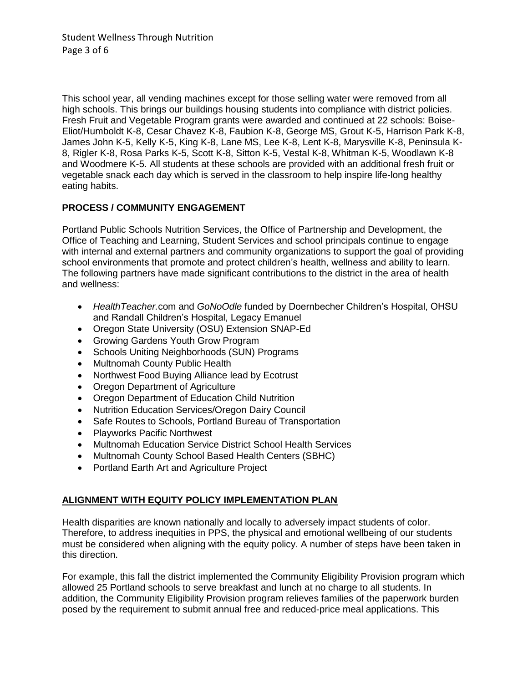Student Wellness Through Nutrition Page 3 of 6

This school year, all vending machines except for those selling water were removed from all high schools. This brings our buildings housing students into compliance with district policies. Fresh Fruit and Vegetable Program grants were awarded and continued at 22 schools: Boise-Eliot/Humboldt K-8, Cesar Chavez K-8, Faubion K-8, George MS, Grout K-5, Harrison Park K-8, James John K-5, Kelly K-5, King K-8, Lane MS, Lee K-8, Lent K-8, Marysville K-8, Peninsula K-8, Rigler K-8, Rosa Parks K-5, Scott K-8, Sitton K-5, Vestal K-8, Whitman K-5, Woodlawn K-8 and Woodmere K-5. All students at these schools are provided with an additional fresh fruit or vegetable snack each day which is served in the classroom to help inspire life-long healthy eating habits.

#### **PROCESS / COMMUNITY ENGAGEMENT**

Portland Public Schools Nutrition Services, the Office of Partnership and Development, the Office of Teaching and Learning, Student Services and school principals continue to engage with internal and external partners and community organizations to support the goal of providing school environments that promote and protect children's health, wellness and ability to learn. The following partners have made significant contributions to the district in the area of health and wellness:

- *HealthTeacher.*com and *GoNoOdle* funded by Doernbecher Children's Hospital, OHSU and Randall Children's Hospital, Legacy Emanuel
- Oregon State University (OSU) Extension SNAP-Ed
- Growing Gardens Youth Grow Program
- Schools Uniting Neighborhoods (SUN) Programs
- Multnomah County Public Health
- Northwest Food Buying Alliance lead by Ecotrust
- Oregon Department of Agriculture
- Oregon Department of Education Child Nutrition
- Nutrition Education Services/Oregon Dairy Council
- Safe Routes to Schools, Portland Bureau of Transportation
- Playworks Pacific Northwest
- Multnomah Education Service District School Health Services
- Multnomah County School Based Health Centers (SBHC)
- Portland Earth Art and Agriculture Project

## **ALIGNMENT WITH EQUITY POLICY IMPLEMENTATION PLAN**

Health disparities are known nationally and locally to adversely impact students of color. Therefore, to address inequities in PPS, the physical and emotional wellbeing of our students must be considered when aligning with the equity policy. A number of steps have been taken in this direction.

For example, this fall the district implemented the Community Eligibility Provision program which allowed 25 Portland schools to serve breakfast and lunch at no charge to all students. In addition, the Community Eligibility Provision program relieves families of the paperwork burden posed by the requirement to submit annual free and reduced-price meal applications. This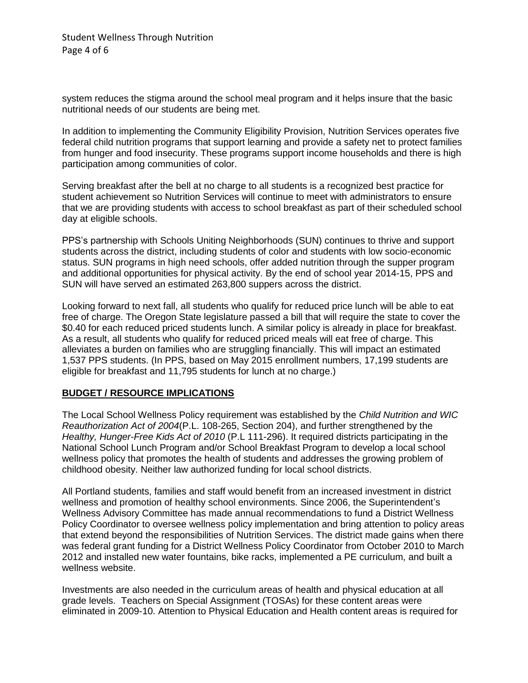system reduces the stigma around the school meal program and it helps insure that the basic nutritional needs of our students are being met.

In addition to implementing the Community Eligibility Provision, Nutrition Services operates five federal child nutrition programs that support learning and provide a safety net to protect families from hunger and food insecurity. These programs support income households and there is high participation among communities of color.

Serving breakfast after the bell at no charge to all students is a recognized best practice for student achievement so Nutrition Services will continue to meet with administrators to ensure that we are providing students with access to school breakfast as part of their scheduled school day at eligible schools.

PPS's partnership with Schools Uniting Neighborhoods (SUN) continues to thrive and support students across the district, including students of color and students with low socio-economic status. SUN programs in high need schools, offer added nutrition through the supper program and additional opportunities for physical activity. By the end of school year 2014-15, PPS and SUN will have served an estimated 263,800 suppers across the district.

Looking forward to next fall, all students who qualify for reduced price lunch will be able to eat free of charge. The Oregon State legislature passed a bill that will require the state to cover the \$0.40 for each reduced priced students lunch. A similar policy is already in place for breakfast. As a result, all students who qualify for reduced priced meals will eat free of charge. This alleviates a burden on families who are struggling financially. This will impact an estimated 1,537 PPS students. (In PPS, based on May 2015 enrollment numbers, 17,199 students are eligible for breakfast and 11,795 students for lunch at no charge.)

#### **BUDGET / RESOURCE IMPLICATIONS**

The Local School Wellness Policy requirement was established by the *Child Nutrition and WIC Reauthorization Act of 2004*(P.L. 108-265, Section 204), and further strengthened by the *Healthy, Hunger-Free Kids Act of 2010* (P.L 111-296). It required districts participating in the National School Lunch Program and/or School Breakfast Program to develop a local school wellness policy that promotes the health of students and addresses the growing problem of childhood obesity. Neither law authorized funding for local school districts.

All Portland students, families and staff would benefit from an increased investment in district wellness and promotion of healthy school environments. Since 2006, the Superintendent's Wellness Advisory Committee has made annual recommendations to fund a District Wellness Policy Coordinator to oversee wellness policy implementation and bring attention to policy areas that extend beyond the responsibilities of Nutrition Services. The district made gains when there was federal grant funding for a District Wellness Policy Coordinator from October 2010 to March 2012 and installed new water fountains, bike racks, implemented a PE curriculum, and built a wellness website.

Investments are also needed in the curriculum areas of health and physical education at all grade levels. Teachers on Special Assignment (TOSAs) for these content areas were eliminated in 2009-10. Attention to Physical Education and Health content areas is required for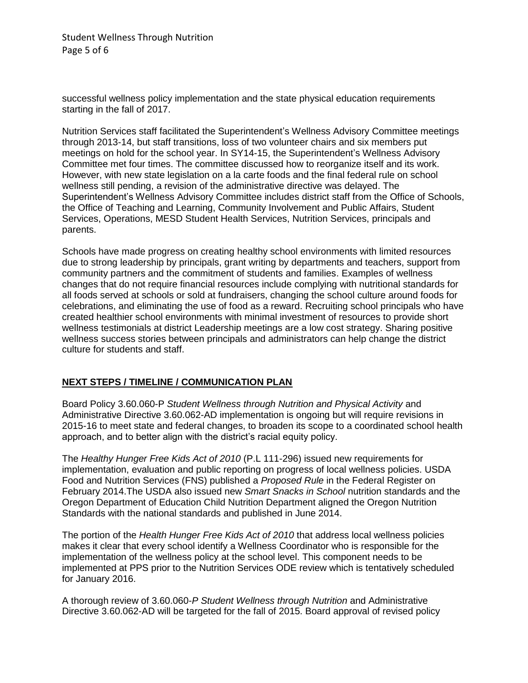successful wellness policy implementation and the state physical education requirements starting in the fall of 2017.

Nutrition Services staff facilitated the Superintendent's Wellness Advisory Committee meetings through 2013-14, but staff transitions, loss of two volunteer chairs and six members put meetings on hold for the school year. In SY14-15, the Superintendent's Wellness Advisory Committee met four times. The committee discussed how to reorganize itself and its work. However, with new state legislation on a la carte foods and the final federal rule on school wellness still pending, a revision of the administrative directive was delayed. The Superintendent's Wellness Advisory Committee includes district staff from the Office of Schools, the Office of Teaching and Learning, Community Involvement and Public Affairs, Student Services, Operations, MESD Student Health Services, Nutrition Services, principals and parents.

Schools have made progress on creating healthy school environments with limited resources due to strong leadership by principals, grant writing by departments and teachers, support from community partners and the commitment of students and families. Examples of wellness changes that do not require financial resources include complying with nutritional standards for all foods served at schools or sold at fundraisers, changing the school culture around foods for celebrations, and eliminating the use of food as a reward. Recruiting school principals who have created healthier school environments with minimal investment of resources to provide short wellness testimonials at district Leadership meetings are a low cost strategy. Sharing positive wellness success stories between principals and administrators can help change the district culture for students and staff.

#### **NEXT STEPS / TIMELINE / COMMUNICATION PLAN**

Board Policy 3.60.060-P *Student Wellness through Nutrition and Physical Activity* and Administrative Directive 3.60.062-AD implementation is ongoing but will require revisions in 2015-16 to meet state and federal changes, to broaden its scope to a coordinated school health approach, and to better align with the district's racial equity policy.

The *Healthy Hunger Free Kids Act of 2010* (P.L 111-296) issued new requirements for implementation, evaluation and public reporting on progress of local wellness policies. USDA Food and Nutrition Services (FNS) published a *Proposed Rule* in the Federal Register on February 2014.The USDA also issued new *Smart Snacks in School* nutrition standards and the Oregon Department of Education Child Nutrition Department aligned the Oregon Nutrition Standards with the national standards and published in June 2014.

The portion of the *Health Hunger Free Kids Act of 2010* that address local wellness policies makes it clear that every school identify a Wellness Coordinator who is responsible for the implementation of the wellness policy at the school level. This component needs to be implemented at PPS prior to the Nutrition Services ODE review which is tentatively scheduled for January 2016.

A thorough review of 3.60.060-*P Student Wellness through Nutrition* and Administrative Directive 3.60.062-AD will be targeted for the fall of 2015. Board approval of revised policy